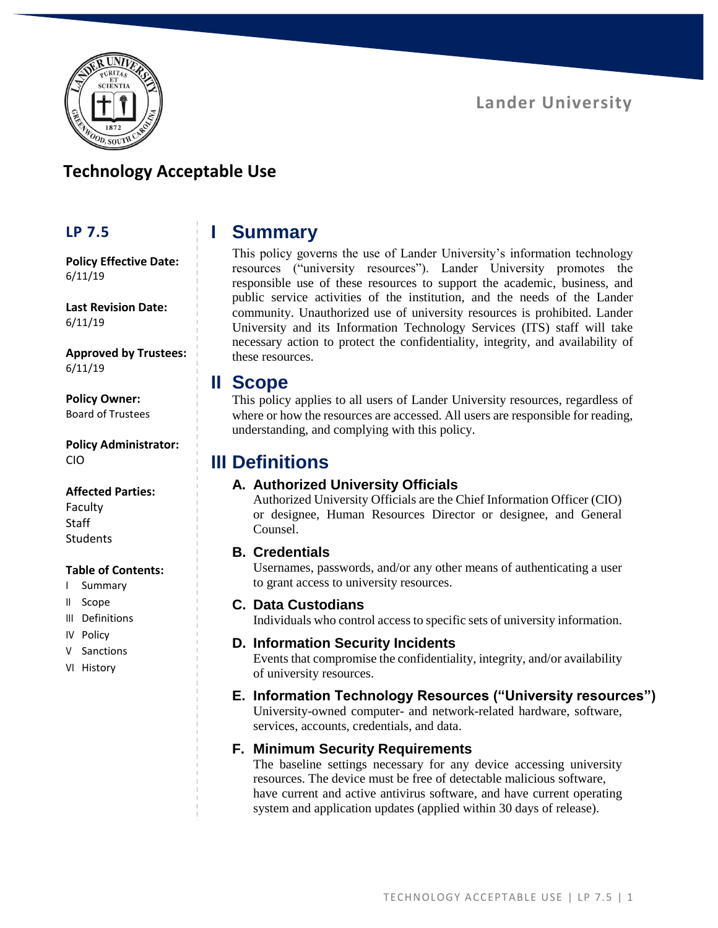

# **Technology Acceptable Use**

### **LP 7.5**

**Policy Effective Date:** 6/11/19

**Last Revision Date:** 6/11/19

**Approved by Trustees:** 6/11/19

**Policy Owner:** Board of Trustees

**Policy Administrator:** CIO

#### **Affected Parties:**

Faculty **Staff Students** 

#### **Table of Contents:**

- I Summary
- II Scope
- III Definitions
- IV Policy
- V Sanctions
- VI History

# **I Summary**

This policy governs the use of Lander University's information technology resources ("university resources"). Lander University promotes the responsible use of these resources to support the academic, business, and public service activities of the institution, and the needs of the Lander community. Unauthorized use of university resources is prohibited. Lander University and its Information Technology Services (ITS) staff will take necessary action to protect the confidentiality, integrity, and availability of these resources.

### **II Scope**

This policy applies to all users of Lander University resources, regardless of where or how the resources are accessed. All users are responsible for reading, understanding, and complying with this policy.

### **III Definitions**

### **A. Authorized University Officials**

Authorized University Officials are the Chief Information Officer (CIO) or designee, Human Resources Director or designee, and General Counsel.

#### **B. Credentials**

Usernames, passwords, and/or any other means of authenticating a user to grant access to university resources.

#### **C. Data Custodians**

Individuals who control access to specific sets of university information.

#### **D. Information Security Incidents**

Events that compromise the confidentiality, integrity, and/or availability of university resources.

### **E. Information Technology Resources ("University resources")**

University-owned computer- and network-related hardware, software, services, accounts, credentials, and data.

### **F. Minimum Security Requirements**

The baseline settings necessary for any device accessing university resources. The device must be free of detectable malicious software, have current and active antivirus software, and have current operating system and application updates (applied within 30 days of release).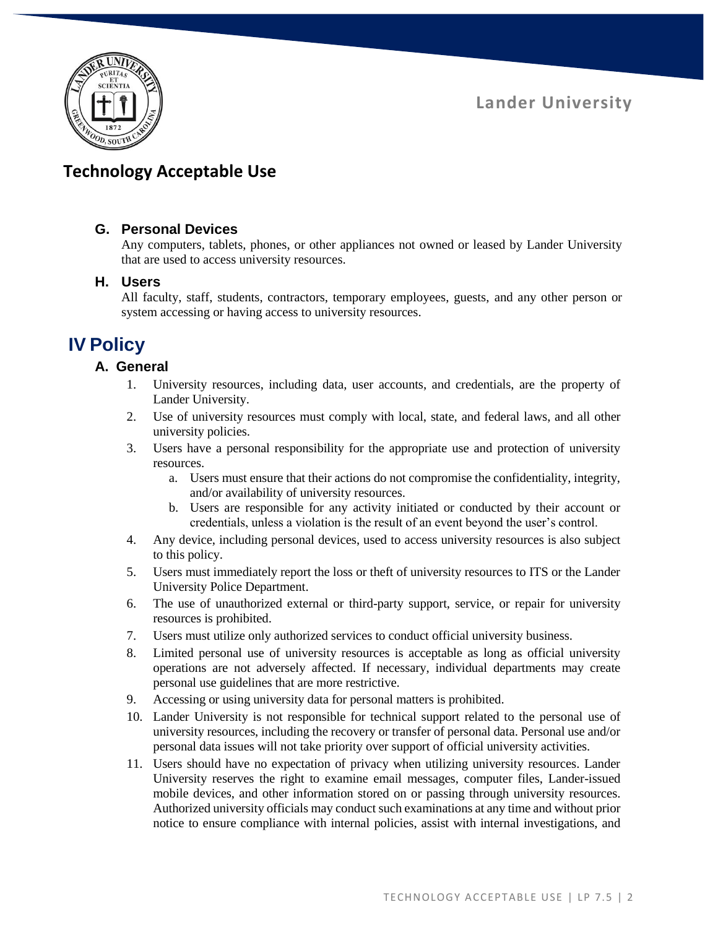

# **Technology Acceptable Use**

### **G. Personal Devices**

Any computers, tablets, phones, or other appliances not owned or leased by Lander University that are used to access university resources.

### **H. Users**

All faculty, staff, students, contractors, temporary employees, guests, and any other person or system accessing or having access to university resources.

# **IV Policy**

### **A. General**

- 1. University resources, including data, user accounts, and credentials, are the property of Lander University.
- 2. Use of university resources must comply with local, state, and federal laws, and all other university policies.
- 3. Users have a personal responsibility for the appropriate use and protection of university resources.
	- a. Users must ensure that their actions do not compromise the confidentiality, integrity, and/or availability of university resources.
	- b. Users are responsible for any activity initiated or conducted by their account or credentials, unless a violation is the result of an event beyond the user's control.
- 4. Any device, including personal devices, used to access university resources is also subject to this policy.
- 5. Users must immediately report the loss or theft of university resources to ITS or the Lander University Police Department.
- 6. The use of unauthorized external or third-party support, service, or repair for university resources is prohibited.
- 7. Users must utilize only authorized services to conduct official university business.
- 8. Limited personal use of university resources is acceptable as long as official university operations are not adversely affected. If necessary, individual departments may create personal use guidelines that are more restrictive.
- 9. Accessing or using university data for personal matters is prohibited.
- 10. Lander University is not responsible for technical support related to the personal use of university resources, including the recovery or transfer of personal data. Personal use and/or personal data issues will not take priority over support of official university activities.
- 11. Users should have no expectation of privacy when utilizing university resources. Lander University reserves the right to examine email messages, computer files, Lander-issued mobile devices, and other information stored on or passing through university resources. Authorized university officials may conduct such examinations at any time and without prior notice to ensure compliance with internal policies, assist with internal investigations, and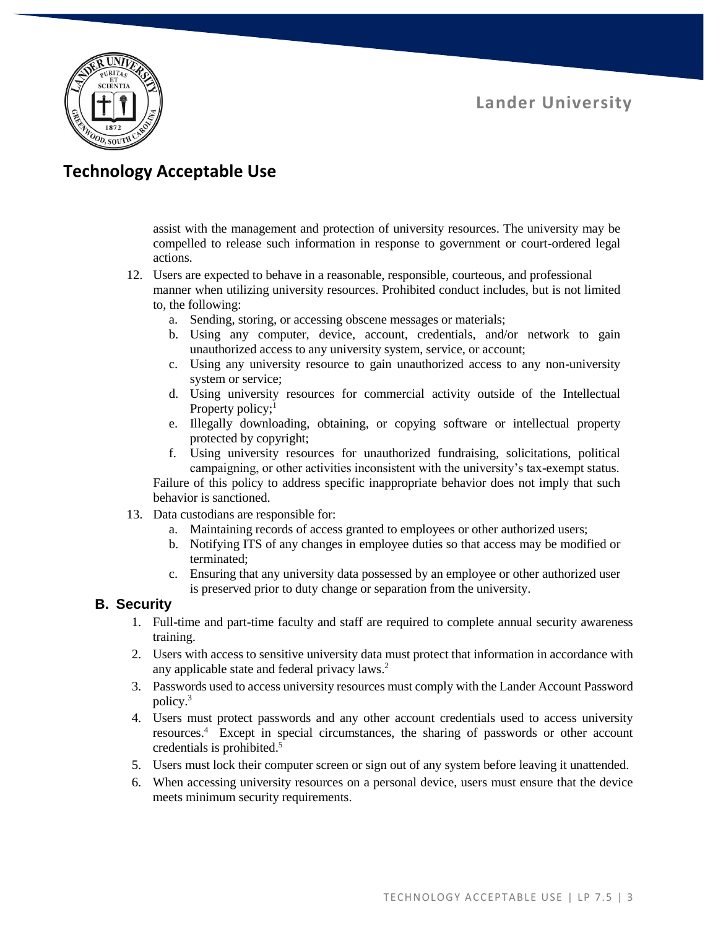

# **Technology Acceptable Use**

assist with the management and protection of university resources. The university may be compelled to release such information in response to government or court-ordered legal actions.

- 12. Users are expected to behave in a reasonable, responsible, courteous, and professional manner when utilizing university resources. Prohibited conduct includes, but is not limited to, the following:
	- a. Sending, storing, or accessing obscene messages or materials;
	- b. Using any computer, device, account, credentials, and/or network to gain unauthorized access to any university system, service, or account;
	- c. Using any university resource to gain unauthorized access to any non-university system or service;
	- d. Using university resources for commercial activity outside of the Intellectual Property policy;<sup>1</sup>
	- e. Illegally downloading, obtaining, or copying software or intellectual property protected by copyright;
	- f. Using university resources for unauthorized fundraising, solicitations, political campaigning, or other activities inconsistent with the university's tax-exempt status.

Failure of this policy to address specific inappropriate behavior does not imply that such behavior is sanctioned.

- 13. Data custodians are responsible for:
	- a. Maintaining records of access granted to employees or other authorized users;
	- b. Notifying ITS of any changes in employee duties so that access may be modified or terminated;
	- c. Ensuring that any university data possessed by an employee or other authorized user is preserved prior to duty change or separation from the university.

#### **B. Security**

- 1. Full-time and part-time faculty and staff are required to complete annual security awareness training.
- 2. Users with access to sensitive university data must protect that information in accordance with any applicable state and federal privacy laws.<sup>2</sup>
- 3. Passwords used to access university resources must comply with the Lander Account Password policy.<sup>3</sup>
- 4. Users must protect passwords and any other account credentials used to access university resources.<sup>4</sup> Except in special circumstances, the sharing of passwords or other account credentials is prohibited.<sup>5</sup>
- 5. Users must lock their computer screen or sign out of any system before leaving it unattended.
- 6. When accessing university resources on a personal device, users must ensure that the device meets minimum security requirements.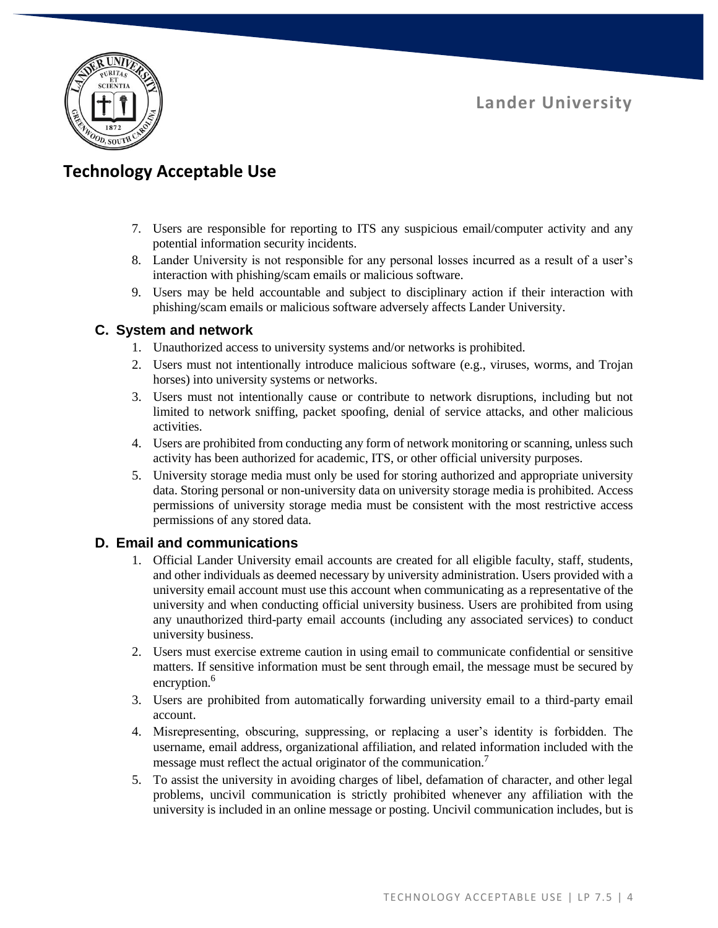

# **Technology Acceptable Use**

- 7. Users are responsible for reporting to ITS any suspicious email/computer activity and any potential information security incidents.
- 8. Lander University is not responsible for any personal losses incurred as a result of a user's interaction with phishing/scam emails or malicious software.
- 9. Users may be held accountable and subject to disciplinary action if their interaction with phishing/scam emails or malicious software adversely affects Lander University.

### **C. System and network**

- 1. Unauthorized access to university systems and/or networks is prohibited.
- 2. Users must not intentionally introduce malicious software (e.g., viruses, worms, and Trojan horses) into university systems or networks.
- 3. Users must not intentionally cause or contribute to network disruptions, including but not limited to network sniffing, packet spoofing, denial of service attacks, and other malicious activities.
- 4. Users are prohibited from conducting any form of network monitoring or scanning, unless such activity has been authorized for academic, ITS, or other official university purposes.
- 5. University storage media must only be used for storing authorized and appropriate university data. Storing personal or non-university data on university storage media is prohibited. Access permissions of university storage media must be consistent with the most restrictive access permissions of any stored data.

#### **D. Email and communications**

- 1. Official Lander University email accounts are created for all eligible faculty, staff, students, and other individuals as deemed necessary by university administration. Users provided with a university email account must use this account when communicating as a representative of the university and when conducting official university business. Users are prohibited from using any unauthorized third-party email accounts (including any associated services) to conduct university business.
- 2. Users must exercise extreme caution in using email to communicate confidential or sensitive matters. If sensitive information must be sent through email, the message must be secured by encryption.<sup>6</sup>
- 3. Users are prohibited from automatically forwarding university email to a third-party email account.
- 4. Misrepresenting, obscuring, suppressing, or replacing a user's identity is forbidden. The username, email address, organizational affiliation, and related information included with the message must reflect the actual originator of the communication.<sup>7</sup>
- 5. To assist the university in avoiding charges of libel, defamation of character, and other legal problems, uncivil communication is strictly prohibited whenever any affiliation with the university is included in an online message or posting. Uncivil communication includes, but is